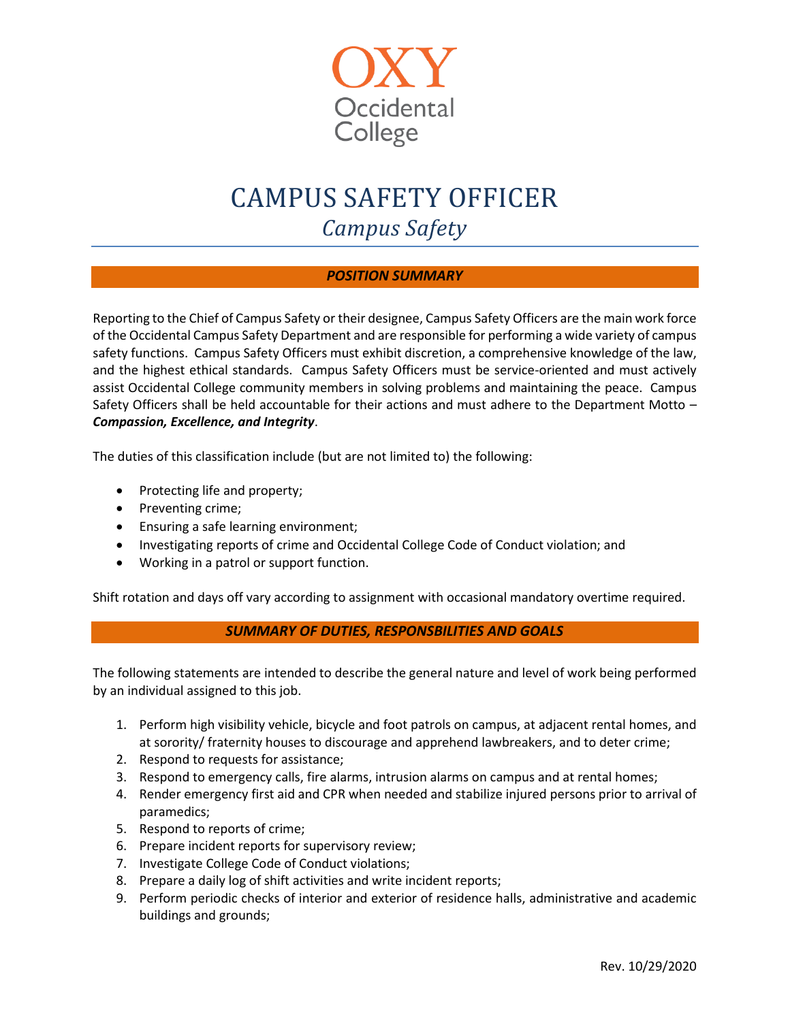

# CAMPUS SAFETY OFFICER *Campus Safety*

## *POSITION SUMMARY*

Reporting to the Chief of Campus Safety or their designee, Campus Safety Officers are the main work force of the Occidental Campus Safety Department and are responsible for performing a wide variety of campus safety functions. Campus Safety Officers must exhibit discretion, a comprehensive knowledge of the law, and the highest ethical standards. Campus Safety Officers must be service-oriented and must actively assist Occidental College community members in solving problems and maintaining the peace. Campus Safety Officers shall be held accountable for their actions and must adhere to the Department Motto – *Compassion, Excellence, and Integrity*.

The duties of this classification include (but are not limited to) the following:

- Protecting life and property;
- Preventing crime;
- Ensuring a safe learning environment;
- Investigating reports of crime and Occidental College Code of Conduct violation; and
- Working in a patrol or support function.

Shift rotation and days off vary according to assignment with occasional mandatory overtime required.

## *SUMMARY OF DUTIES, RESPONSBILITIES AND GOALS*

The following statements are intended to describe the general nature and level of work being performed by an individual assigned to this job.

- 1. Perform high visibility vehicle, bicycle and foot patrols on campus, at adjacent rental homes, and at sorority/ fraternity houses to discourage and apprehend lawbreakers, and to deter crime;
- 2. Respond to requests for assistance;
- 3. Respond to emergency calls, fire alarms, intrusion alarms on campus and at rental homes;
- 4. Render emergency first aid and CPR when needed and stabilize injured persons prior to arrival of paramedics;
- 5. Respond to reports of crime;
- 6. Prepare incident reports for supervisory review;
- 7. Investigate College Code of Conduct violations;
- 8. Prepare a daily log of shift activities and write incident reports;
- 9. Perform periodic checks of interior and exterior of residence halls, administrative and academic buildings and grounds;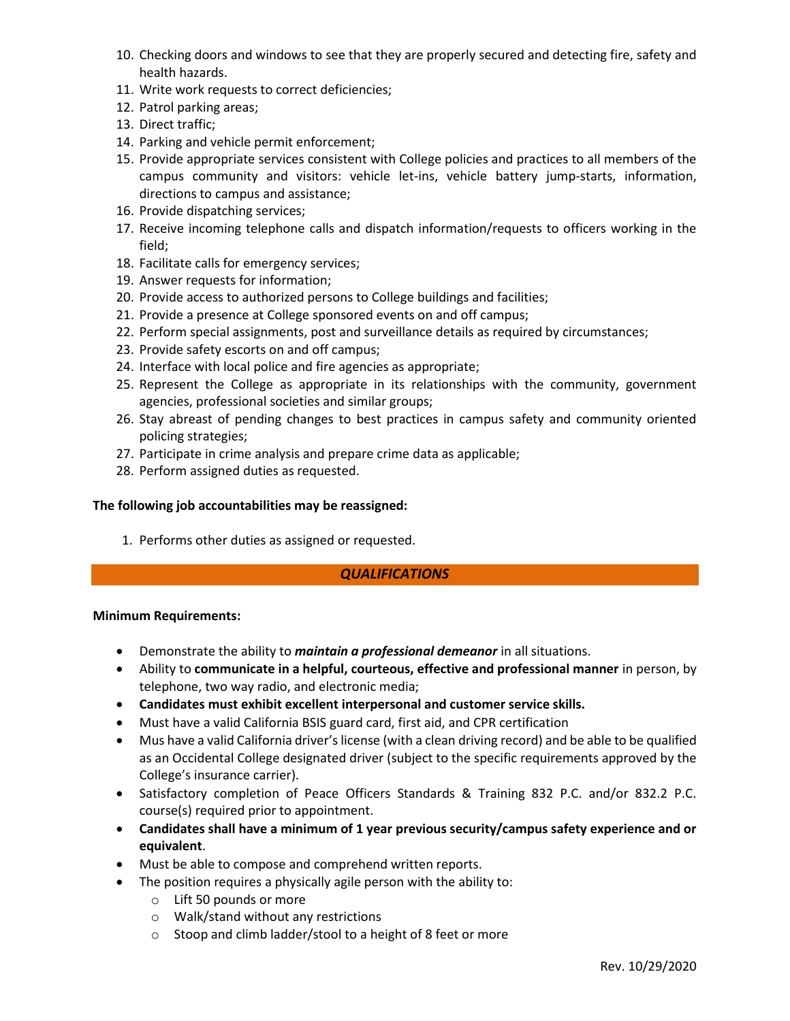- 10. Checking doors and windows to see that they are properly secured and detecting fire, safety and health hazards.
- 11. Write work requests to correct deficiencies;
- 12. Patrol parking areas;
- 13. Direct traffic;
- 14. Parking and vehicle permit enforcement;
- 15. Provide appropriate services consistent with College policies and practices to all members of the campus community and visitors: vehicle let-ins, vehicle battery jump-starts, information, directions to campus and assistance;
- 16. Provide dispatching services;
- 17. Receive incoming telephone calls and dispatch information/requests to officers working in the field;
- 18. Facilitate calls for emergency services;
- 19. Answer requests for information;
- 20. Provide access to authorized persons to College buildings and facilities;
- 21. Provide a presence at College sponsored events on and off campus;
- 22. Perform special assignments, post and surveillance details as required by circumstances;
- 23. Provide safety escorts on and off campus;
- 24. Interface with local police and fire agencies as appropriate;
- 25. Represent the College as appropriate in its relationships with the community, government agencies, professional societies and similar groups;
- 26. Stay abreast of pending changes to best practices in campus safety and community oriented policing strategies;
- 27. Participate in crime analysis and prepare crime data as applicable;
- 28. Perform assigned duties as requested.

#### **The following job accountabilities may be reassigned:**

1. Performs other duties as assigned or requested.

## *QUALIFICATIONS*

#### **Minimum Requirements:**

- Demonstrate the ability to *maintain a professional demeanor* in all situations.
- Ability to **communicate in a helpful, courteous, effective and professional manner** in person, by telephone, two way radio, and electronic media;
- **Candidates must exhibit excellent interpersonal and customer service skills.**
- Must have a valid California BSIS guard card, first aid, and CPR certification
- Mus have a valid California driver's license (with a clean driving record) and be able to be qualified as an Occidental College designated driver (subject to the specific requirements approved by the College's insurance carrier).
- Satisfactory completion of Peace Officers Standards & Training 832 P.C. and/or 832.2 P.C. course(s) required prior to appointment.
- **Candidates shall have a minimum of 1 year previous security/campus safety experience and or equivalent**.
- Must be able to compose and comprehend written reports.
- The position requires a physically agile person with the ability to:
	- o Lift 50 pounds or more
	- o Walk/stand without any restrictions
	- o Stoop and climb ladder/stool to a height of 8 feet or more